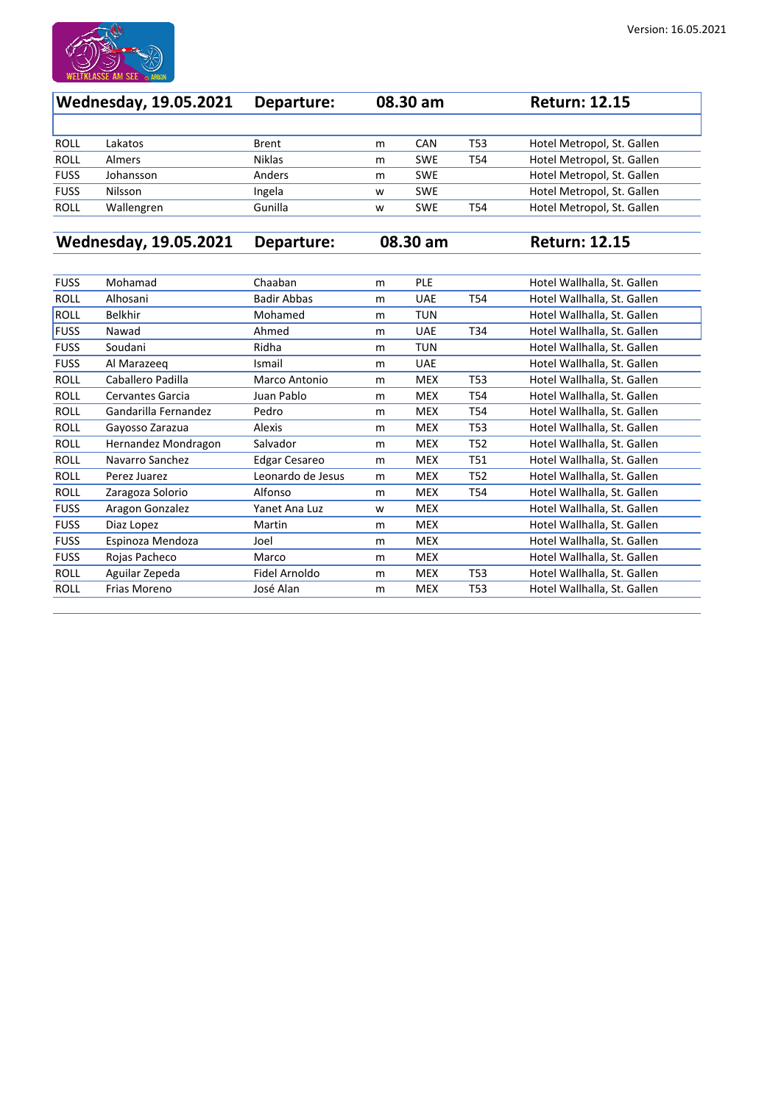

| <b>Wednesday, 19.05.2021</b> |            | 08.30 am<br>Departure: |   |            | <b>Return: 12.15</b> |                            |
|------------------------------|------------|------------------------|---|------------|----------------------|----------------------------|
|                              |            |                        |   |            |                      |                            |
| <b>ROLL</b>                  | Lakatos    | <b>Brent</b>           | m | <b>CAN</b> | <b>T53</b>           | Hotel Metropol, St. Gallen |
| <b>ROLL</b>                  | Almers     | <b>Niklas</b>          | m | <b>SWE</b> | T54                  | Hotel Metropol, St. Gallen |
| <b>FUSS</b>                  | Johansson  | Anders                 | m | <b>SWE</b> |                      | Hotel Metropol, St. Gallen |
| <b>FUSS</b>                  | Nilsson    | Ingela                 | W | <b>SWE</b> |                      | Hotel Metropol, St. Gallen |
| <b>ROLL</b>                  | Wallengren | Gunilla                | W | <b>SWE</b> | T54                  | Hotel Metropol, St. Gallen |
|                              |            |                        |   |            |                      |                            |

**Wednesday, 19.05.2021 Departure: 08.30 am Return: 12.15**

| <b>FUSS</b> | Mohamad                 | Chaaban              | m | <b>PLE</b> |                 | Hotel Wallhalla, St. Gallen |
|-------------|-------------------------|----------------------|---|------------|-----------------|-----------------------------|
| <b>ROLL</b> | Alhosani                | <b>Badir Abbas</b>   | m | <b>UAE</b> | T54             | Hotel Wallhalla, St. Gallen |
| ROLL        | <b>Belkhir</b>          | Mohamed              | m | <b>TUN</b> |                 | Hotel Wallhalla, St. Gallen |
| <b>FUSS</b> | Nawad                   | Ahmed                | m | <b>UAE</b> | T34             | Hotel Wallhalla, St. Gallen |
| <b>FUSS</b> | Soudani                 | Ridha                | m | <b>TUN</b> |                 | Hotel Wallhalla, St. Gallen |
| <b>FUSS</b> | Al Marazeeq             | Ismail               | m | <b>UAE</b> |                 | Hotel Wallhalla, St. Gallen |
| <b>ROLL</b> | Caballero Padilla       | Marco Antonio        | m | <b>MEX</b> | T <sub>53</sub> | Hotel Wallhalla, St. Gallen |
| <b>ROLL</b> | <b>Cervantes Garcia</b> | Juan Pablo           | m | <b>MEX</b> | T54             | Hotel Wallhalla, St. Gallen |
| <b>ROLL</b> | Gandarilla Fernandez    | Pedro                | m | <b>MEX</b> | T54             | Hotel Wallhalla, St. Gallen |
| <b>ROLL</b> | Gayosso Zarazua         | <b>Alexis</b>        | m | <b>MEX</b> | T53             | Hotel Wallhalla, St. Gallen |
| <b>ROLL</b> | Hernandez Mondragon     | Salvador             | m | <b>MEX</b> | T <sub>52</sub> | Hotel Wallhalla, St. Gallen |
| <b>ROLL</b> | Navarro Sanchez         | <b>Edgar Cesareo</b> | m | <b>MEX</b> | T51             | Hotel Wallhalla, St. Gallen |
| <b>ROLL</b> | Perez Juarez            | Leonardo de Jesus    | m | <b>MEX</b> | T <sub>52</sub> | Hotel Wallhalla, St. Gallen |
| <b>ROLL</b> | Zaragoza Solorio        | Alfonso              | m | <b>MEX</b> | T54             | Hotel Wallhalla, St. Gallen |
| <b>FUSS</b> | Aragon Gonzalez         | Yanet Ana Luz        | W | <b>MEX</b> |                 | Hotel Wallhalla, St. Gallen |
| <b>FUSS</b> | Diaz Lopez              | Martin               | m | <b>MEX</b> |                 | Hotel Wallhalla, St. Gallen |
| <b>FUSS</b> | Espinoza Mendoza        | Joel                 | m | <b>MEX</b> |                 | Hotel Wallhalla, St. Gallen |
| <b>FUSS</b> | Rojas Pacheco           | Marco                | m | <b>MEX</b> |                 | Hotel Wallhalla, St. Gallen |
| <b>ROLL</b> | Aguilar Zepeda          | Fidel Arnoldo        | m | <b>MEX</b> | T53             | Hotel Wallhalla, St. Gallen |
| <b>ROLL</b> | Frias Moreno            | José Alan            | m | <b>MEX</b> | T <sub>53</sub> | Hotel Wallhalla, St. Gallen |
|             |                         |                      |   |            |                 |                             |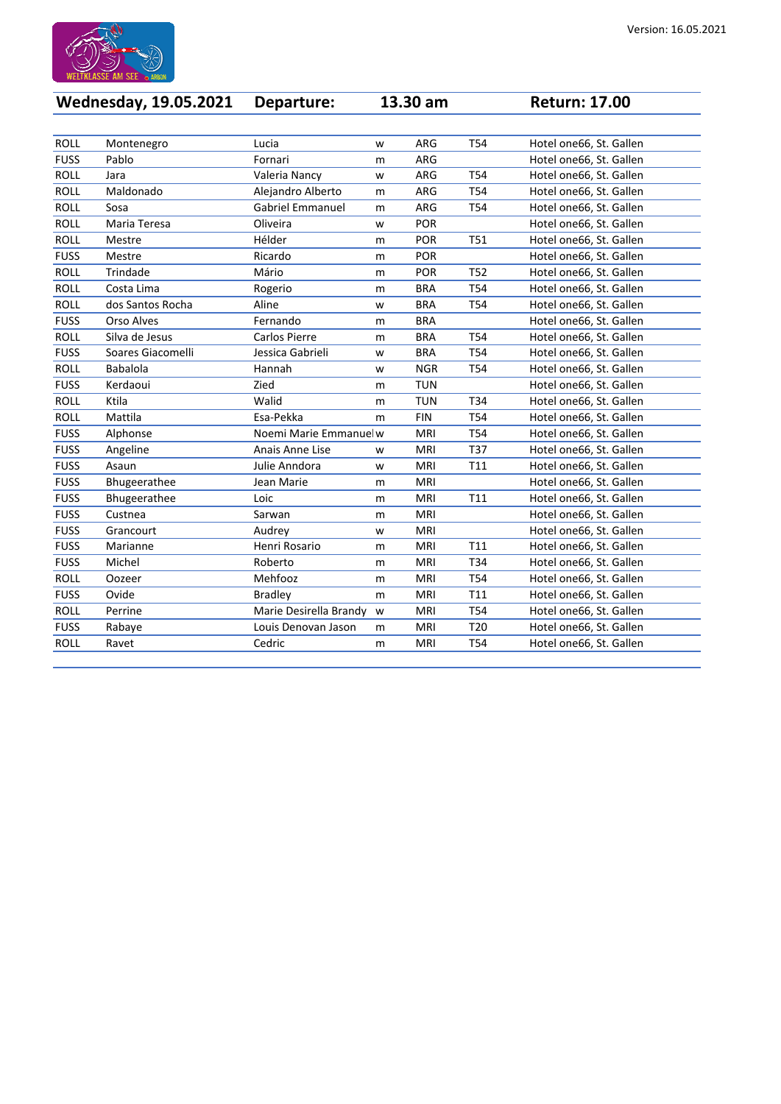

| Wednesday, 19.05.2021 Departure: | <b>13.30 am</b> | <b>Return: 17.00</b> |  |
|----------------------------------|-----------------|----------------------|--|

| <b>ROLL</b> | Montenegro        | Lucia                   | W | <b>ARG</b> | T54             | Hotel one66, St. Gallen |
|-------------|-------------------|-------------------------|---|------------|-----------------|-------------------------|
| <b>FUSS</b> | Pablo             | Fornari                 | m | <b>ARG</b> |                 | Hotel one66, St. Gallen |
| <b>ROLL</b> | Jara              | Valeria Nancy           | W | <b>ARG</b> | T54             | Hotel one66, St. Gallen |
| <b>ROLL</b> | Maldonado         | Alejandro Alberto       | m | <b>ARG</b> | T <sub>54</sub> | Hotel one66, St. Gallen |
| <b>ROLL</b> | Sosa              | <b>Gabriel Emmanuel</b> | m | <b>ARG</b> | T54             | Hotel one66, St. Gallen |
| <b>ROLL</b> | Maria Teresa      | Oliveira                | W | <b>POR</b> |                 | Hotel one66, St. Gallen |
| <b>ROLL</b> | Mestre            | Hélder                  | m | <b>POR</b> | <b>T51</b>      | Hotel one66, St. Gallen |
| <b>FUSS</b> | Mestre            | Ricardo                 | m | <b>POR</b> |                 | Hotel one66, St. Gallen |
| <b>ROLL</b> | Trindade          | Mário                   | m | <b>POR</b> | T <sub>52</sub> | Hotel one66, St. Gallen |
| <b>ROLL</b> | Costa Lima        | Rogerio                 | m | <b>BRA</b> | T54             | Hotel one66, St. Gallen |
| <b>ROLL</b> | dos Santos Rocha  | Aline                   | W | <b>BRA</b> | T54             | Hotel one66, St. Gallen |
| <b>FUSS</b> | <b>Orso Alves</b> | Fernando                | m | <b>BRA</b> |                 | Hotel one66, St. Gallen |
| <b>ROLL</b> | Silva de Jesus    | <b>Carlos Pierre</b>    | m | <b>BRA</b> | T54             | Hotel one66, St. Gallen |
| <b>FUSS</b> | Soares Giacomelli | Jessica Gabrieli        | W | <b>BRA</b> | T <sub>54</sub> | Hotel one66, St. Gallen |
| <b>ROLL</b> | <b>Babalola</b>   | Hannah                  | W | <b>NGR</b> | T54             | Hotel one66, St. Gallen |
| <b>FUSS</b> | Kerdaoui          | Zied                    | m | <b>TUN</b> |                 | Hotel one66, St. Gallen |
| <b>ROLL</b> | Ktila             | Walid                   | m | <b>TUN</b> | T34             | Hotel one66, St. Gallen |
| <b>ROLL</b> | Mattila           | Esa-Pekka               | m | <b>FIN</b> | T54             | Hotel one66, St. Gallen |
| <b>FUSS</b> | Alphonse          | Noemi Marie Emmanuel w  |   | <b>MRI</b> | T <sub>54</sub> | Hotel one66, St. Gallen |
| <b>FUSS</b> | Angeline          | Anais Anne Lise         | W | <b>MRI</b> | T37             | Hotel one66, St. Gallen |
| <b>FUSS</b> | Asaun             | Julie Anndora           | W | <b>MRI</b> | T11             | Hotel one66, St. Gallen |
| <b>FUSS</b> | Bhugeerathee      | Jean Marie              | m | <b>MRI</b> |                 | Hotel one66, St. Gallen |
| <b>FUSS</b> | Bhugeerathee      | Loic                    | m | <b>MRI</b> | T11             | Hotel one66, St. Gallen |
| <b>FUSS</b> | Custnea           | Sarwan                  | m | <b>MRI</b> |                 | Hotel one66, St. Gallen |
| <b>FUSS</b> | Grancourt         | Audrey                  | W | <b>MRI</b> |                 | Hotel one66, St. Gallen |
| <b>FUSS</b> | Marianne          | Henri Rosario           | m | MRI        | T11             | Hotel one66, St. Gallen |
| <b>FUSS</b> | Michel            | Roberto                 | m | <b>MRI</b> | T34             | Hotel one66, St. Gallen |
| <b>ROLL</b> | Oozeer            | Mehfooz                 | m | <b>MRI</b> | T54             | Hotel one66, St. Gallen |
| <b>FUSS</b> | Ovide             | <b>Bradley</b>          | m | <b>MRI</b> | T11             | Hotel one66, St. Gallen |
| <b>ROLL</b> | Perrine           | Marie Desirella Brandy  | W | <b>MRI</b> | T54             | Hotel one66, St. Gallen |
| <b>FUSS</b> | Rabaye            | Louis Denovan Jason     | m | MRI        | T20             | Hotel one66, St. Gallen |
| ROLL        | Ravet             | Cedric                  | m | MRI        | T54             | Hotel one66, St. Gallen |
|             |                   |                         |   |            |                 |                         |